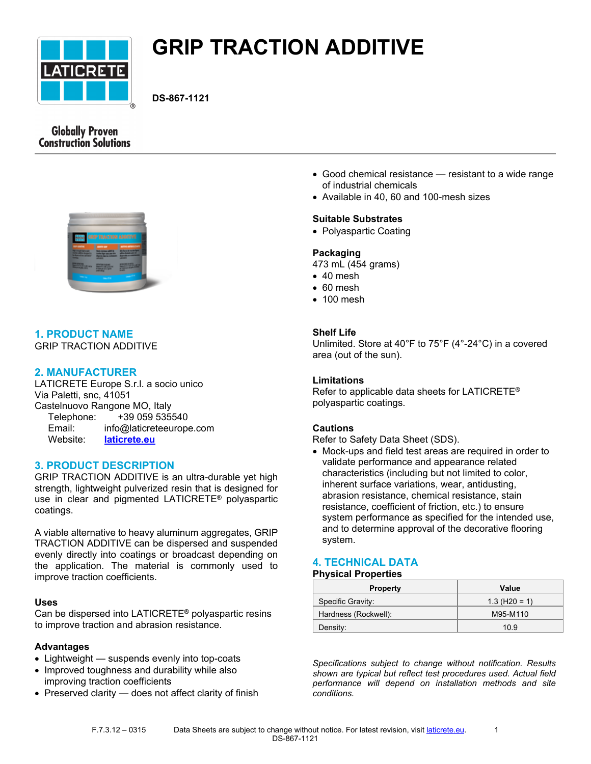

# **GRIP TRACTION ADDITIVE**

**DS-867-1121**

# **Globally Proven Construction Solutions**



# **1. PRODUCT NAME**

GRIP TRACTION ADDITIVE

# **2. MANUFACTURER**

LATICRETE Europe S.r.l. a socio unico Via Paletti, snc, 41051 Castelnuovo Rangone MO, Italy Telephone: +39 059 535540 Email: info@laticreteeurope.com Website: **[laticrete.eu](http://www.laticrete.eu/)**

# **3. PRODUCT DESCRIPTION**

GRIP TRACTION ADDITIVE is an ultra-durable yet high strength, lightweight pulverized resin that is designed for use in clear and pigmented LATICRETE® polyaspartic coatings.

A viable alternative to heavy aluminum aggregates, GRIP TRACTION ADDITIVE can be dispersed and suspended evenly directly into coatings or broadcast depending on the application. The material is commonly used to improve traction coefficients.

## **Uses**

Can be dispersed into LATICRETE® polyaspartic resins to improve traction and abrasion resistance.

# **Advantages**

- Lightweight suspends evenly into top-coats
- Improved toughness and durability while also improving traction coefficients
- Preserved clarity does not affect clarity of finish
- Good chemical resistance resistant to a wide range of industrial chemicals
- Available in 40, 60 and 100-mesh sizes

## **Suitable Substrates**

• Polyaspartic Coating

## **Packaging**

- 473 mL (454 grams)
- 40 mesh
- 60 mesh
- 100 mesh

## **Shelf Life**

Unlimited. Store at 40°F to 75°F (4°-24°C) in a covered area (out of the sun).

## **Limitations**

Refer to applicable data sheets for LATICRETE® polyaspartic coatings.

# **Cautions**

Refer to Safety Data Sheet (SDS).

• Mock-ups and field test areas are required in order to validate performance and appearance related characteristics (including but not limited to color, inherent surface variations, wear, antidusting, abrasion resistance, chemical resistance, stain resistance, coefficient of friction, etc.) to ensure system performance as specified for the intended use, and to determine approval of the decorative flooring system.

# **4. TECHNICAL DATA**

## **Physical Properties**

| <b>Property</b>      | Value           |
|----------------------|-----------------|
| Specific Gravity:    | $1.3$ (H20 = 1) |
| Hardness (Rockwell): | M95-M110        |
| Density:             | 10.9            |

*Specifications subject to change without notification. Results shown are typical but reflect test procedures used. Actual field performance will depend on installation methods and site conditions.*